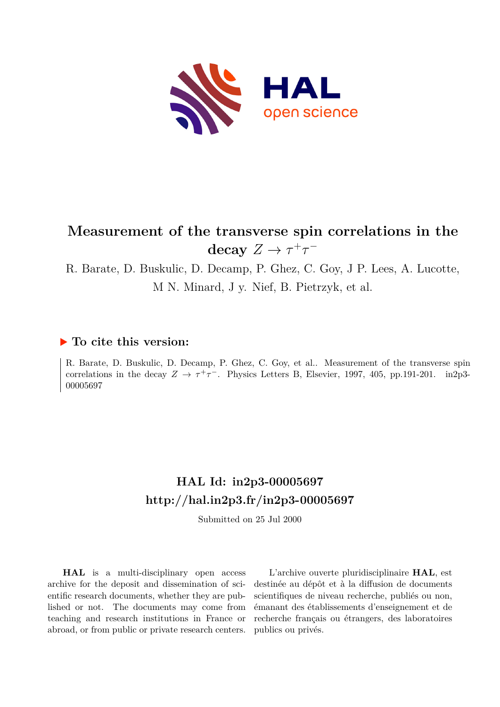

# **Measurement of the transverse spin correlations in the** decay  $Z \to \tau^+\tau^-$

R. Barate, D. Buskulic, D. Decamp, P. Ghez, C. Goy, J P. Lees, A. Lucotte, M N. Minard, J y. Nief, B. Pietrzyk, et al.

#### **To cite this version:**

R. Barate, D. Buskulic, D. Decamp, P. Ghez, C. Goy, et al.. Measurement of the transverse spin correlations in the decay  $Z \to \tau^+\tau^-$ . Physics Letters B, Elsevier, 1997, 405, pp.191-201. in2p3-00005697

# **HAL Id: in2p3-00005697 <http://hal.in2p3.fr/in2p3-00005697>**

Submitted on 25 Jul 2000

**HAL** is a multi-disciplinary open access archive for the deposit and dissemination of scientific research documents, whether they are published or not. The documents may come from teaching and research institutions in France or abroad, or from public or private research centers.

L'archive ouverte pluridisciplinaire **HAL**, est destinée au dépôt et à la diffusion de documents scientifiques de niveau recherche, publiés ou non, émanant des établissements d'enseignement et de recherche français ou étrangers, des laboratoires publics ou privés.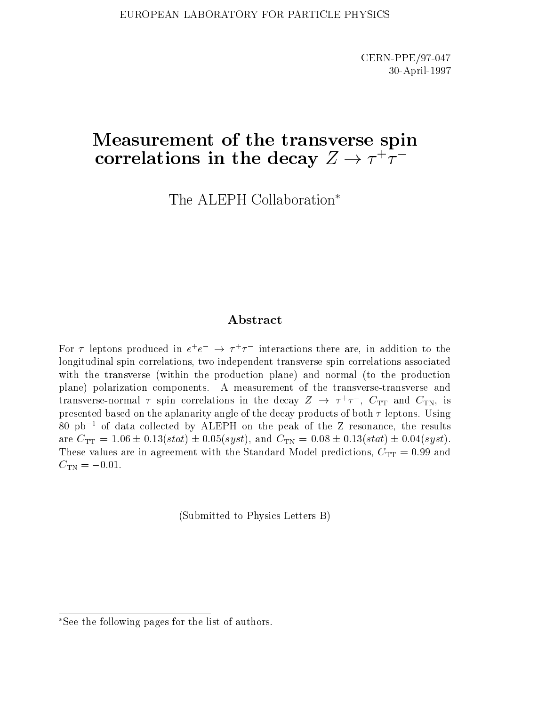# Measurement of the transverse spin correlations in the decay  $Z \rightarrow T^* T^-$

The ALEPH Collaboration

#### Abstract

For  $\tau$  reptons produced in  $e^+e^-\to \tau^+\tau^-$  interactions there are, in addition to the longitudinal spin correlations, two independent transverse spin correlations associated with the transverse (within the production plane) and normal (to the production plane) polarization components. A measurement of the transverse-transverse and transverse-normal *T* spin correlations in the decay  $Z \rightarrow T/T$ ,  $C_{TT}$  and  $C_{TN}$ , is presented based on the aplanarity angle of the decay products of both  $\tau$  leptons. Using  $80$  pb<sup>-1</sup> of data collected by ALEPH on the peak of the Z resonance, the results are  $C_{TT} = 1.06 \pm 0.13(stat) \pm 0.05(syst)$ , and  $C_{TN} = 0.08 \pm 0.13(stat) \pm 0.04(syst)$ . These values are in agreement with the Standard Model predictions,  $C_{TT} = 0.99$  and  $C_{\text{TN}} = -0.01$ .

(Submitted to Physics Letters B)

See the following pages for the list of authors.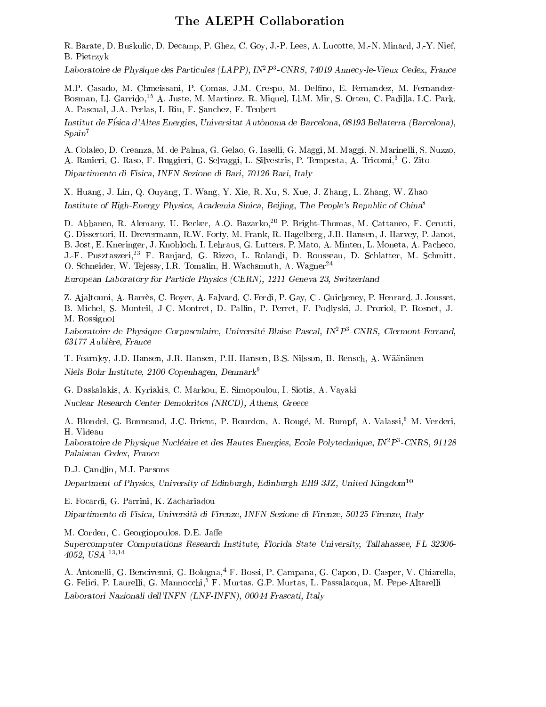#### The ALEPH Collaboration

R. Barate, D. Buskulic, D. Decamp, P. Ghez, C. Goy, J.-P. Lees, A. Lucotte, M.-N. Minard, J.-Y. Nief, B. Pietrzyk

Laboratoire de Fhysique des Farticules (LAFF), IN-F-CNRS, 74019 Annecy-le-Vieux Cedex, France

M.P. Casado, M. Chmeissani, P. Comas, J.M. Crespo, M. Delfino, E. Fernandez, M. Fernandez-Bosman, Ll. Garrido,<sup>15</sup> A. Juste, M. Martinez, R. Miquel, Ll.M. Mir, S. Orteu, C. Padilla, I.C. Park, A. Pascual, J.A. Perlas, I. Riu, F. Sanchez, F. Teubert

Institut de Fisica d'Altes Energies, Universitat Autonoma de Barcelona, 08193 Bellaterra (Barcelona),  $S\gamma$ 

A. Colaleo, D. Creanza, M. de Palma, G. Gelao, G. Iaselli, G. Maggi, M. Maggi, N. Marinelli, S. Nuzzo, A. Ranieri, G. Raso, F. Ruggieri, G. Selvaggi, L. Silvestris, P. Tempesta, A. Tricomi,<sup>3</sup> G. Zito Dipartimento di Fisica, INFN Sezione di Bari, 70126 Bari, Italy

X. Huang, J. Lin, Q. Ouyang, T. Wang, Y. Xie, R. Xu, S. Xue, J. Zhang, L. Zhang, W. Zhao Institute of High-Energy Physics, Academia Sinica, Beijing, The People's Republic of China<sup>8</sup>

D. Abbaneo, R. Alemany, U. Becker, A.O. Bazarko,<sup>20</sup> P. Bright-Thomas, M. Cattaneo, F. Cerutti, G. Dissertori, H. Drevermann, R.W. Forty, M. Frank, R. Hagelberg, J.B. Hansen, J. Harvey, P. Janot, B. Jost, E. Kneringer, J. Knobloch, I. Lehraus, G. Lutters, P. Mato, A. Minten, L. Moneta, A. Pacheco, J.-F. Pusztaszeri,<sup>23</sup> F. Ranjard, G. Rizzo, L. Rolandi, D. Rousseau, D. Schlatter, M. Schmitt, O. Schneider, W. Tejessy, I.R. Tomalin, H. Wachsmuth, A. Wagner<sup>24</sup>

European Laboratory for Particle Physics (CERN), 1211 Geneva 23, Switzerland

Z. Ajaltouni, A. Barres, C. Boyer, A. Falvard, C. Ferdi, P. Gay, C . Guicheney, P. Henrard, J. Jousset, B. Michel, S. Monteil, J-C. Montret, D. Pallin, P. Perret, F. Podlyski, J. Proriol, P. Rosnet, J.- M. Rossignol

Laboratoire de Physique Corpusculaire, Universite Blaise Pascal, IN2P3 -CNRS, Clermont-Ferrand, 63177 Aubiere, France

T. Fearnley, J.D. Hansen, J.R. Hansen, P.H. Hansen, B.S. Nilsson, B. Rensch, A. Wäänänen Niels Bohr Institute, 2100 Copenhagen, Denmark<sup>9</sup>

G. Daskalakis, A. Kyriakis, C. Markou, E. Simopoulou, I. Siotis, A. Vayaki Nuclear Research Center Demokritos (NRCD), Athens, Greece

A. Blondel, G. Bonneaud, J.C. Brient, P. Bourdon, A. Rougé, M. Rumpf, A. Valassi,<sup>6</sup> M. Verderi, H. Videau

Laboratoire de Physique Nucleaire et des Hautes Energies, Ecole Polytechnique, IN-P-UNRS, 91128 Palaiseau Cedex, France

D.J. Candlin, M.I. Parsons

Department of Physics, University of Edinburgh, Edinburgh EH9 3JZ, United Kingdom<sup>10</sup>

E. Focardi, G. Parrini, K. Zachariadou

Dipartimento di Fisica, Universita di Firenze, INFN Sezione di Firenze, 50125 Firenze, Italy

M. Corden, C. Georgiopoulos, D.E. Jaffe

Supercomputer Computations Research Institute, Florida State University, Tallahassee, FL 32306- 4052, USA 13;14

A. Antonelli, G. Bencivenni, G. Bologna,<sup>4</sup> F. Bossi, P. Campana, G. Capon, D. Casper, V. Chiarella, G. Felici, P. Laurelli, G. Mannocchi,<sup>5</sup> F. Murtas, G.P. Murtas, L. Passalacqua, M. Pepe-Altarelli Laboratori Nazionali dell'INFN (LNF-INFN), 00044 Frascati, Italy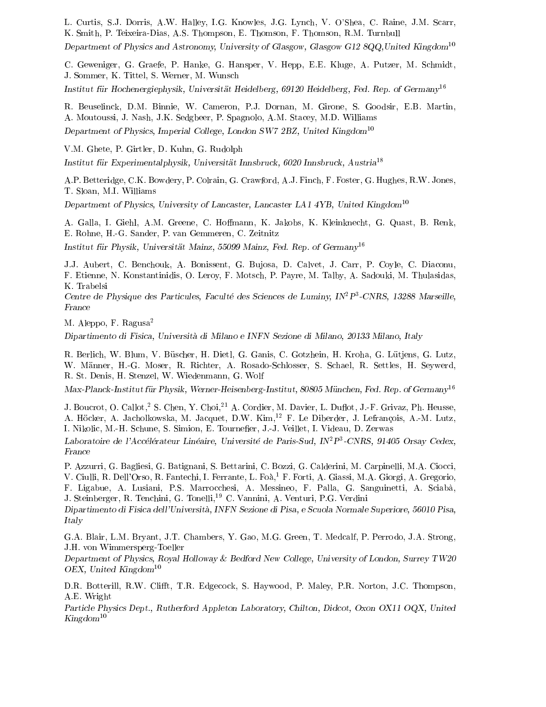L. Curtis, S.J. Dorris, A.W. Halley, I.G. Knowles, J.G. Lynch, V. O'Shea, C. Raine, J.M. Scarr, K. Smith, P. Teixeira-Dias, A.S. Thompson, E. Thomson, F. Thomson, R.M. Turnbull

Department of Physics and Astronomy, University of Glasgow, Glasgow G12 8QQ,United Kingdom<sup>10</sup>

C. Geweniger, G. Graefe, P. Hanke, G. Hansper, V. Hepp, E.E. Kluge, A. Putzer, M. Schmidt, J. Sommer, K. Tittel, S. Werner, M. Wunsch

Institut für Hochenergiephysik, Universität Heidelberg, 69120 Heidelberg, Fed. Rep. of Germany<sup>16</sup>

R. Beuselinck, D.M. Binnie, W. Cameron, P.J. Dornan, M. Girone, S. Goodsir, E.B. Martin, A. Moutoussi, J. Nash, J.K. Sedgbeer, P. Spagnolo, A.M. Stacey, M.D. Williams Department of Physics, Imperial College, London SW7 2BZ, United Kingdom<sup>10</sup>

V.M. Ghete, P. Girtler, D. Kuhn, G. Rudolph Institut für Experimentalphysik, Universität Innsbruck, 6020 Innsbruck, Austria<sup>18</sup>

A.P. Betteridge, C.K. Bowdery, P. Colrain, G. Crawford, A.J. Finch, F. Foster, G. Hughes, R.W. Jones, T. Sloan, M.I. Williams

Department of Physics, University of Lancaster, Lancaster LA1 4YB, United Kingdom<sup>10</sup>

A. Galla, I. Giehl, A.M. Greene, C. Hoffmann, K. Jakobs, K. Kleinknecht, G. Quast, B. Renk, E. Rohne, H.-G. Sander, P. van Gemmeren, C. Zeitnitz

Institut für Physik, Universität Mainz, 55099 Mainz, Fed. Rep. of  $German<sup>16</sup>$ 

J.J. Aubert, C. Benchouk, A. Bonissent, G. Bujosa, D. Calvet, J. Carr, P. Coyle, C. Diaconu, F. Etienne, N. Konstantinidis, O. Leroy, F. Motsch, P. Payre, M. Talby, A. Sadouki, M. Thulasidas, K. Trabelsi

Centre de Physique des Particules, Faculte des Sciences de Luminy, IN2P3 -CNRS, 13288 Marseille, France

M. Aleppo, F. Ragusa2

Dipartimento di Fisica, Universita di Milano e INFN Sezione di Milano, 20133 Milano, Italy

R. Berlich, W. Blum, V. Buscher, H. Dietl, G. Ganis, C. Gotzhein, H. Kroha, G. Lutjens, G. Lutz, W. Manner, H.-G. Moser, R. Richter, A. Rosado-Schlosser, S. Schael, R. Settles, H. Seywerd, R. St. Denis, H. Stenzel, W. Wiedenmann, G. Wolf

Max-Planck-Institut für Physik, Werner-Heisenberg-Institut, 80805 München, Fed. Rep. of Germany<sup>16</sup>

J. Boucrot, O. Callot,<sup>2</sup> S. Chen, Y. Choi,<sup>21</sup> A. Cordier, M. Davier, L. Duflot, J.-F. Grivaz, Ph. Heusse, A. Hocker, A. Jacholkowska, M. Jacquet, D.W. Kim,<sup>12</sup> F. Le Diberder, J. Lefrancois, A.-M. Lutz, I. Nikolic, M.-H. Schune, S. Simion, E. Tournefier, J.-J. Veillet, I. Videau, D. Zerwas

Laboratoire de l'Accélérateur Linéaire, Université de Paris-Sud, IN<sup>2</sup> P<sup>3</sup>-CNRS, 91405 Orsay Cedex, -CNRS, 91405 Orsay Cedex, France

P. Azzurri, G. Bagliesi, G. Batignani, S. Bettarini, C. Bozzi, G. Calderini, M. Carpinelli, M.A. Ciocci, V. Ciulli, R. Dell'Orso, R. Fantechi, I. Ferrante, L. Foà,<sup>1</sup> F. Forti, A. Giassi, M.A. Giorgi, A. Gregorio, F. Ligabue, A. Lusiani, P.S. Marrocchesi, A. Messineo, F. Palla, G. Sanguinetti, A. Sciaba, J. Steinberger, R. Tenchini, G. Tonelli,<sup>19</sup> C. Vannini, A. Venturi, P.G. Verdini

Dipartimento di Fisica dell'Universita, INFN Sezione di Pisa, e Scuola Normale Superiore, 56010 Pisa, Italy

G.A. Blair, L.M. Bryant, J.T. Chambers, Y. Gao, M.G. Green, T. Medcalf, P. Perrodo, J.A. Strong, J.H. von Wimmersperg-Toeller

Department of Physics, Royal Holloway & Bedford New College, University of London, Surrey TW20 OEX, United Kingdom $10$ 

D.R. Botterill, R.W. Clifft, T.R. Edgecock, S. Haywood, P. Maley, P.R. Norton, J.C. Thompson, A.E. Wright  $\mathcal{L} = \mathcal{L} = \mathcal{L}$ 

Particle Physics Dept., Rutherford Appleton Laboratory, Chilton, Didcot, Oxon OX11 OQX, United  $Kingdom^{10}$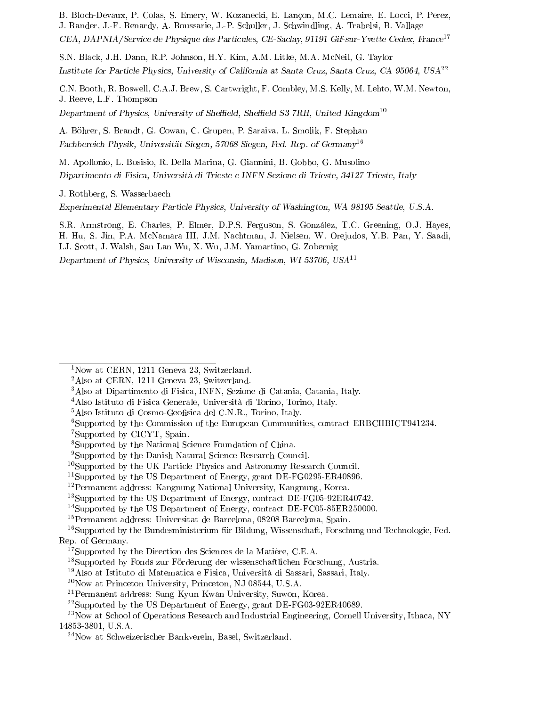B. Bloch-Devaux, P. Colas, S. Emery, W. Kozanecki, E. Lancon, M.C. Lemaire, E. Locci, P. Perez,

J. Rander, J.-F. Renardy, A. Roussarie, J.-P. Schuller, J. Schwindling, A. Trabelsi, B. Vallage CEA, DAPNIA/Service de Physique des Particules, CE-Saclay, 91191 Gif-sur-Yvette Cedex, France<sup>17</sup>

S.N. Black, J.H. Dann, R.P. Johnson, H.Y. Kim, A.M. Litke, M.A. McNeil, G. Taylor Institute for Particle Physics, University of California at Santa Cruz, Santa Cruz, CA 95064, USA<sup>22</sup>

C.N. Booth, R. Boswell, C.A.J. Brew, S. Cartwright, F. Combley, M.S. Kelly, M. Lehto, W.M. Newton, J. Reeve, L.F. Thompson

Department of Physics, University of Sheffield, Sheffield S3 7RH, United Kingdom<sup>10</sup>

A. Bohrer, S. Brandt, G. Cowan, C. Grupen, P. Saraiva, L. Smolik, F. Stephan Fachbereich Physik, Universitat Siegen, 57068 Siegen, Fed. Rep. of Germany<sup>16</sup>

M. Apollonio, L. Bosisio, R. Della Marina, G. Giannini, B. Gobbo, G. Musolino Dipartimento di Fisica, Universita di Trieste e INFN Sezione di Trieste, 34127 Trieste, Italy

J. Rothberg, S. Wasserbaech

Experimental Elementary Particle Physics, University of Washington, WA 98195 Seattle, U.S.A.

S.R. Armstrong, E. Charles, P. Elmer, D.P.S. Ferguson, S. Gonzalez, T.C. Greening, O.J. Hayes, H. Hu, S. Jin, P.A. McNamara III, J.M. Nachtman, J. Nielsen, W. Orejudos, Y.B. Pan, Y. Saadi, I.J. Scott, J. Walsh, Sau Lan Wu, X. Wu, J.M. Yamartino, G. Zobernig

Department of Physics, University of Wisconsin, Madison, WI 53706, USA<sup>11</sup>

<sup>11</sup>Supported by the US Department of Energy, grant DE-FG0295-ER40896.

<sup>1</sup>Now at CERN, 1211 Geneva 23, Switzerland.

<sup>2</sup>Also at CERN, 1211 Geneva 23, Switzerland.

<sup>&</sup>lt;sup>3</sup>Also at Dipartimento di Fisica, INFN, Sezione di Catania, Catania, Italy.

<sup>4</sup>Also Istituto di Fisica Generale, Universita di Torino, Torino, Italy.

<sup>&</sup>lt;sup>5</sup>Also Istituto di Cosmo-Geofisica del C.N.R., Torino, Italy.

<sup>6</sup>Supported by the Commission of the European Communities, contract ERBCHBICT941234.

<sup>7</sup>Supported by CICYT, Spain.

<sup>8</sup>Supported by the National Science Foundation of China.

<sup>9</sup>Supported by the Danish Natural Science Research Council.

<sup>&</sup>lt;sup>10</sup>Supported by the UK Particle Physics and Astronomy Research Council.

<sup>12</sup>Permanent address: Kangnung National University, Kangnung, Korea.

<sup>&</sup>lt;sup>13</sup>Supported by the US Department of Energy, contract DE-FG05-92ER40742.

<sup>&</sup>lt;sup>14</sup>Supported by the US Department of Energy, contract DE-FC05-85ER250000.

<sup>15</sup>Permanent address: Universitat de Barcelona, 08208 Barcelona, Spain.

<sup>&</sup>lt;sup>16</sup>Supported by the Bundesministerium für Bildung, Wissenschaft, Forschung und Technologie, Fed. Rep. of Germany.

<sup>&</sup>lt;sup>17</sup>Supported by the Direction des Sciences de la Matière, C.E.A.

<sup>&</sup>lt;sup>18</sup>Supported by Fonds zur Förderung der wissenschaftlichen Forschung, Austria.

<sup>19</sup>Also at Istituto di Matematica e Fisica, Universita di Sassari, Sassari, Italy.

<sup>20</sup>Now at Princeton University, Princeton, NJ 08544, U.S.A.

<sup>21</sup>Permanent address: Sung Kyun Kwan University, Suwon, Korea.

<sup>22</sup>Supported by the US Department of Energy, grant DE-FG03-92ER40689.

<sup>&</sup>lt;sup>23</sup>Now at School of Operations Research and Industrial Engineering, Cornell University, Ithaca, NY 14853-3801, U.S.A.

<sup>24</sup>Now at Schweizerischer Bankverein, Basel, Switzerland.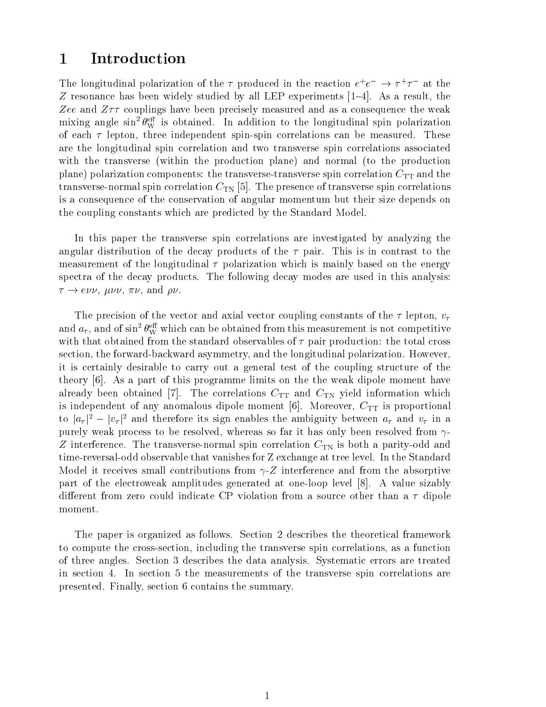#### 1 Introduction

The longitudinal polarization of the  $\tau$  produced in the reaction  $e^+e^- \rightarrow \tau^+\tau^-$  at the Z resonance has been widely studied by all LEP experiments  $[1–4]$ . As a result, the Zee and  $Z\tau\tau$  couplings have been precisely measured and as a consequence the weak mixing angle sin  $\theta_{\rm W}^{\rm ss}$  is obtained. In addition to the longitudinal spin polarization of each  $\tau$  lepton, three independent spin-spin correlations can be measured. These are the longitudinal spin correlation and two transverse spin correlations associated with the transverse (within the production plane) and normal (to the production plane) polarization components: the transverse-transverse spin correlation  $C_{TT}$  and the transverse-normal spin correlation  $C_{TN}$  [5]. The presence of transverse spin correlations is a consequence of the conservation of angular momentum but their size depends on the coupling constants which are predicted by the Standard Model.

In this paper the transverse spin correlations are investigated by analyzing the angular distribution of the decay products of the  $\tau$  pair. This is in contrast to the measurement of the longitudinal  $\tau$  polarization which is mainly based on the energy spectra of the decay products. The following decay modes are used in this analysis: ! e, , , and .

The precision of the vector and axial vector coupling constants of the  $\tau$  lepton,  $v_{\tau}$ and  $a_\tau,$  and of sin-  $\theta_{\rm W}^{\rm ex}$  which can be obtained from this measurement is not competitive with that obtained from the standard observables of  $\tau$  pair production: the total cross section, the forward-backward asymmetry, and the longitudinal polarization. However, it is certainly desirable to carry out a general test of the coupling structure of the theory [6]. As a part of this programme limits on the the weak dipole moment have already been obtained [7]. The correlations  $C_{TT}$  and  $C_{TN}$  yield information which is independent of any anomalous dipole moment  $[6]$ . Moreover,  $C_{TT}$  is proportional to  $|a_{\tau}|^2 - |v_{\tau}|^2$  and therefore its sign enables the ambiguity between  $a_{\tau}$  and  $v_{\tau}$  in a purely weak process to be resolved, whereas so far it has only been resolved from  $\gamma$ -Z interference. The transverse-normal spin correlation  $C_{TN}$  is both a parity-odd and time-reversal-odd observable that vanishes for Z exchange at tree level. In the Standard Model it receives small contributions from  $\gamma$ -Z interference and from the absorptive part of the electroweak amplitudes generated at one-loop level [8]. A value sizably different from zero could indicate CP violation from a source other than a  $\tau$  dipole moment.

The paper is organized as follows. Section 2 describes the theoretical framework to compute the cross-section, including the transverse spin correlations, as a function of three angles. Section 3 describes the data analysis. Systematic errors are treated in section 4. In section 5 the measurements of the transverse spin correlations are presented. Finally, section 6 contains the summary.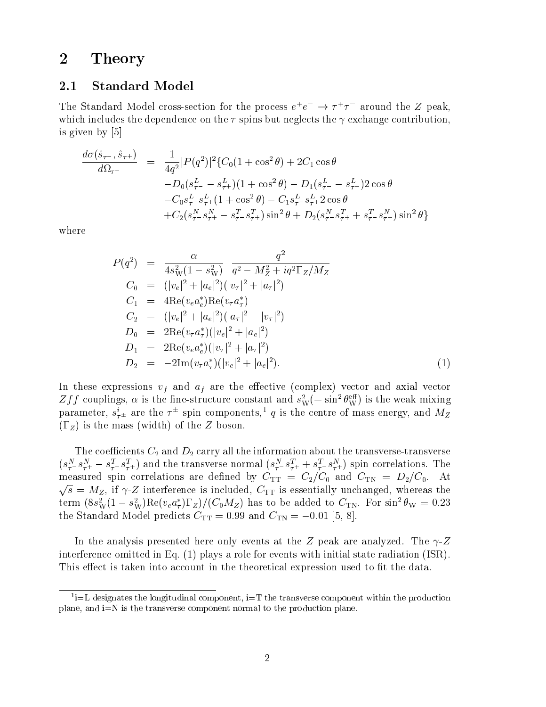#### 2 Theory

#### 2.1 Standard Model

The Standard Model cross-section for the process  $e^+e^- \rightarrow 7^+7^-$  around the  $\overline{Z}$  peak, which includes the dependence on the  $\tau$  spins but neglects the  $\gamma$  exchange contribution, is given by [5]

$$
\frac{d\sigma(\hat{s}_{\tau^{-}}, \hat{s}_{\tau^{+}})}{d\Omega_{\tau^{-}}} = \frac{1}{4q^2} |P(q^2)|^2 \{C_0(1 + \cos^2\theta) + 2C_1\cos\theta
$$
  
\n
$$
-D_0(s_{\tau^{-}}^L - s_{\tau^{+}}^L)(1 + \cos^2\theta) - D_1(s_{\tau^{-}}^L - s_{\tau^{+}}^L)2\cos\theta
$$
  
\n
$$
-C_0 s_{\tau^{-}}^L s_{\tau^{+}}^L (1 + \cos^2\theta) - C_1 s_{\tau^{-}}^L s_{\tau^{+}}^L 2\cos\theta
$$
  
\n
$$
+ C_2(s_{\tau^{-}}^N s_{\tau^{+}}^N - s_{\tau^{-}}^T s_{\tau^{+}}^T)\sin^2\theta + D_2(s_{\tau^{-}}^N s_{\tau^{+}}^T + s_{\tau^{-}}^T s_{\tau^{+}}^N)\sin^2\theta\}
$$

where

$$
P(q^2) = \frac{\alpha}{4s_W^2(1-s_W^2)} \frac{q^2}{q^2 - M_Z^2 + iq^2\Gamma_Z/M_Z}
$$
  
\n
$$
C_0 = (|v_e|^2 + |a_e|^2)(|v_\tau|^2 + |a_\tau|^2)
$$
  
\n
$$
C_1 = 4\text{Re}(v_e a_e^*)\text{Re}(v_\tau a_\tau^*)
$$
  
\n
$$
C_2 = (|v_e|^2 + |a_e|^2)(|a_\tau|^2 - |v_\tau|^2)
$$
  
\n
$$
D_0 = 2\text{Re}(v_\tau a_\tau^*)(|v_e|^2 + |a_e|^2)
$$
  
\n
$$
D_1 = 2\text{Re}(v_e a_e^*)(|v_\tau|^2 + |a_\tau|^2)
$$
  
\n
$$
D_2 = -2\text{Im}(v_\tau a_\tau^*)(|v_e|^2 + |a_e|^2).
$$
  
\n(1)

In these expressions  $v_f$  and  $a_f$  are the effective (complex) vector and axial vector  $\Delta f f$  couplings,  $\alpha$  is the fine-structure constant and  $s^{\perp}_\mathrm{W} (= \sin^{\ast}\theta^{\perp}_\mathrm{W})$  is the weak mixing parameter,  $s_{\tau\pm}$  are the  $\tau$  -spin components,  $q$  is the centre of mass energy, and  $M_Z$  $(\Gamma_Z)$  is the mass (width) of the Z boson.

The coefficients  $C_2$  and  $D_2$  carry all the information about the transverse-transverse  $(s_{\tau}^2 - s_{\tau}^2 + - s_{\tau}^2 - s_{\tau}^2)$  and the transverse-normal  $(s_{\tau}^2 - s_{\tau}^2 + s_{\tau}^2 - s_{\tau}^2)$  spin correlations. The measured spin correlations are defined by  $C_{TT} = C_2/C_0$  and  $C_{TN} = D_2/C_0$ . At <u>provided the second second second and second second second second second second second second second second second second second second second second second second second second second second second second second second s</u> s and  $\alpha$  interference is included,  $\alpha$  in the same there is a three theory is essentially unchanged, whereas the contract of term (8s<sub>W</sub>(1 – s<sub>W</sub>)Re( $v_e a_\tau$ ) z)/(C<sub>0</sub>Mz) has to be added to C<sub>TN</sub>. For sin<sup>-</sup>  $\theta_\mathrm{W} = 0.23$ the Standard Model predicts  $C_{TT} = 0.99$  and  $C_{TN} = -0.01$  [5, 8].

In the analysis presented here only events at the Z peak are analyzed. The  $\gamma$ -Z interference omitted in Eq. (1) plays a role for events with initial state radiation (ISR). This effect is taken into account in the theoretical expression used to fit the data.

 $\lceil \cdot \rceil$  designates the longitudinal component,  $\lceil \cdot \rceil$  the transverse component within the production plane, and i=N is the transverse component normal to the production plane.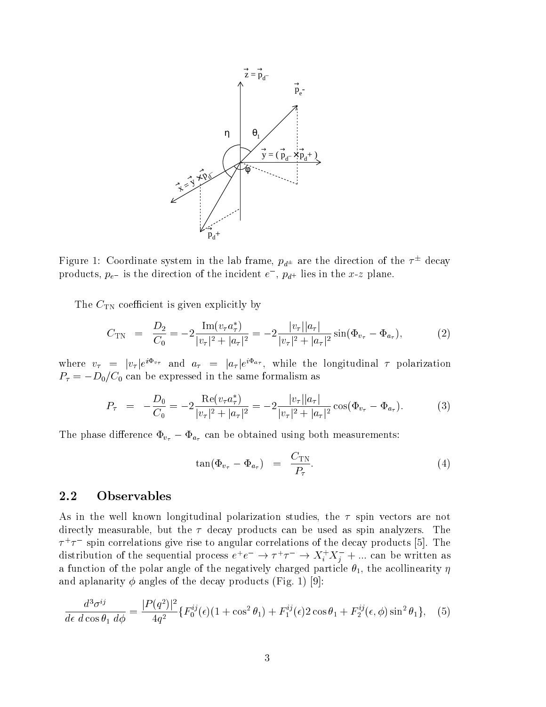

Figure 1: Coordinate system in the lab frame,  $p_{d^\pm}$  are the direction of the  $\tau^-$  decay products,  $p_{e^-}$  is the direction of the incident  $e^-$ ,  $p_{d^+}$  fies in the x-z plane.

The  $C_{TN}$  coefficient is given explicitly by

$$
C_{\text{TN}} = \frac{D_2}{C_0} = -2 \frac{\text{Im}(v_\tau a_\tau^*)}{|v_\tau|^2 + |a_\tau|^2} = -2 \frac{|v_\tau||a_\tau|}{|v_\tau|^2 + |a_\tau|^2} \sin(\Phi_{v_\tau} - \Phi_{a_\tau}), \tag{2}
$$

where  $v_{\tau} = |v_{\tau}|e^{\tau - v_{\tau}}$  and  $a_{\tau} = |a_{\tau}|e^{\tau - v_{\tau}}$ , while the longitudinal 7 polarization  $P_{\tau} = -D_0/C_0$  can be expressed in the same formalism as

$$
P_{\tau} = -\frac{D_0}{C_0} = -2 \frac{\text{Re}(v_{\tau} a_{\tau}^*)}{|v_{\tau}|^2 + |a_{\tau}|^2} = -2 \frac{|v_{\tau}| |a_{\tau}|}{|v_{\tau}|^2 + |a_{\tau}|^2} \cos(\Phi_{v_{\tau}} - \Phi_{a_{\tau}}). \tag{3}
$$

The phase difference  $\Phi_{v_{\tau}} - \Phi_{a_{\tau}}$  can be obtained using both measurements:

$$
\tan(\Phi_{v_{\tau}} - \Phi_{a_{\tau}}) = \frac{C_{\text{TN}}}{P_{\tau}}.
$$
\n(4)

#### 2.2 Observables

As in the well known longitudinal polarization studies, the  $\tau$  spin vectors are not directly measurable, but the  $\tau$  decay products can be used as spin analyzers. The  $\tau$   $\tau$  spin correlations give rise to angular correlations of the decay products [5]. The  $\tau$ distribution of the sequential process  $e^+e^- \to \tau^+\tau^- \to \Lambda_i^+\Lambda_j^- + ...$  can be written as a function of the polar angle of the negatively charged particle  $\theta_1$ , the acollinearity  $\eta$ and aplanarity  $\phi$  angles of the decay products (Fig. 1) [9]:

$$
\frac{d^3\sigma^{ij}}{d\epsilon\ d\cos\theta_1\ d\phi} = \frac{|P(q^2)|^2}{4q^2} \{F_0^{ij}(\epsilon)(1+\cos^2\theta_1) + F_1^{ij}(\epsilon)2\cos\theta_1 + F_2^{ij}(\epsilon,\phi)\sin^2\theta_1\},\tag{5}
$$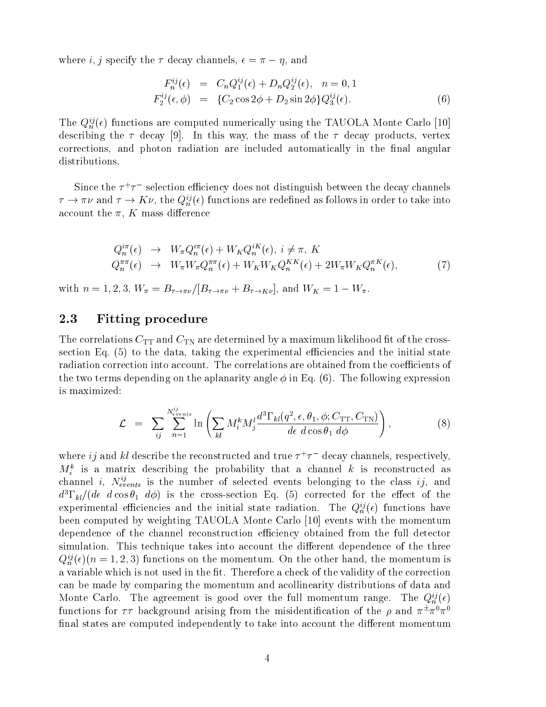$m_{\rm H}$  is  $m_{\rm H}$  ,  $m_{\rm H}$  is the decay channels,  $c = m_{\rm H}$ , which

$$
F_n^{ij}(\epsilon) = C_n Q_1^{ij}(\epsilon) + D_n Q_2^{ij}(\epsilon), \quad n = 0, 1
$$
  
\n
$$
F_2^{ij}(\epsilon, \phi) = \{C_2 \cos 2\phi + D_2 \sin 2\phi\} Q_3^{ij}(\epsilon).
$$
 (6)

The  $Q_n^{ij}(\epsilon)$  functions are computed numerically using the TAUOLA Monte Carlo [10] describing the  $\tau$  decay [9]. In this way, the mass of the  $\tau$  decay products, vertex corrections, and photon radiation are included automatically in the final angular distributions.

Since the <sup>+</sup> selection eciency does not distinguish between the decay channels  $\gamma \to \pi \nu$  and  $\gamma \to K \nu$ , the  $Q_n^s(\epsilon)$  functions are redefined as follows in order to take into account the  $\pi$ , K mass difference

$$
Q_n^{i\pi}(\epsilon) \rightarrow W_{\pi} Q_n^{i\pi}(\epsilon) + W_K Q_n^{iK}(\epsilon), \quad i \neq \pi, K
$$
  
\n
$$
Q_n^{\pi\pi}(\epsilon) \rightarrow W_{\pi} W_{\pi} Q_n^{\pi\pi}(\epsilon) + W_K W_K Q_n^{KK}(\epsilon) + 2W_{\pi} W_K Q_n^{\pi K}(\epsilon),
$$
\n
$$
(7)
$$

with  $n = 1, 2, 3$ ,  $W_{\pi} = B_{\tau \to \pi \nu}/[B_{\tau \to \pi \nu} + B_{\tau \to K \nu}]$ , and  $W_K = 1 - W_{\pi}$ .

#### 2.3 Fitting procedure

The correlations  $C_{TT}$  and  $C_{TN}$  are determined by a maximum likelihood fit of the crosssection Eq.  $(5)$  to the data, taking the experimental efficiencies and the initial state radiation correction into account. The correlations are obtained from the coefficients of the two terms depending on the aplanarity angle  $\phi$  in Eq. (6). The following expression is maximized:

$$
\mathcal{L} = \sum_{ij} \sum_{n=1}^{N_{events}^{ij}} \ln \left( \sum_{kl} M_i^k M_j^l \frac{d^3 \Gamma_{kl}(q^2, \epsilon, \theta_1, \phi; C_{\text{TT}}, C_{\text{TN}})}{d\epsilon \ d \cos \theta_1 \ d\phi} \right), \tag{8}
$$

where  $i\eta$  and  $\kappa\iota$  describe the reconstructed and true  $\tau^+\tau^-$  decay channels, respectively,  $m_i$  is a matrix describing the probability that a channel k is reconstructed as channel  $i, \; N_{events}$  is the number of selected events belonging to the class  $ij,$  and  $d^3\Gamma_{kl}/(d\epsilon \, d\cos\theta_1 \, d\phi)$  is the cross-section Eq. (5) corrected for the effect of the experimental efficiencies and the initial state radiation. The  $Q_n^{ij}(\epsilon)$  functions have been computed by weighting TAUOLA Monte Carlo [10] events with the momentum dependence of the channel reconstruction efficiency obtained from the full detector simulation. This technique takes into account the different dependence of the three  $Q_n^{ij}(\epsilon)(n = 1, 2, 3)$  functions on the momentum. On the other hand, the momentum is a variable which is not used in the fit. Therefore a check of the validity of the correction can be made by comparing the momentum and acollinearity distributions of data and Monte Carlo. The agreement is good over the full momentum range. The  $Q_n^{ij}(\epsilon)$ functions for  $\tau\tau$  background arising from the misidentification of the  $\rho$  and  $\pi^-\pi^-\pi^$ final states are computed independently to take into account the different momentum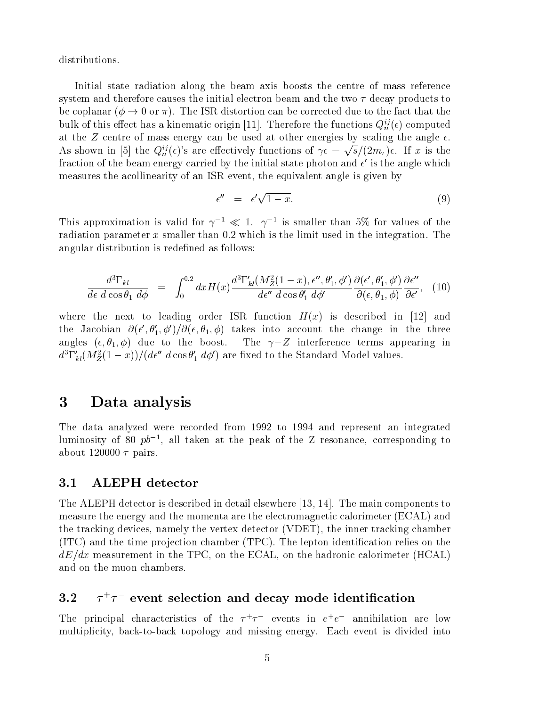distributions.

Initial state radiation along the beam axis boosts the centre of mass reference system and therefore causes the initial electron beam and the two  $\tau$  decay products to be coplanar ( $\phi \rightarrow 0$  or  $\pi$ ). The ISR distortion can be corrected due to the fact that the bulk of this effect has a kinematic origin [11]. Therefore the functions  $Q_n^{ij}(\epsilon)$  computed at the Z centre of mass energy can be used at other energies by scaling the angle  $\epsilon$ . As shown in [5] the  $Q_n^{\{v\}}(\epsilon)$ 's are effectively functions of  $\gamma \epsilon = \sqrt{s}/(2m_\tau)\epsilon$ . If x is the fraction of the beam energy carried by the initial state photon and  $\epsilon$  is the angle which measures the acollinearity of an ISR event, the equivalent angle is given by

$$
\epsilon'' = \epsilon' \sqrt{1-x}.\tag{9}
$$

This approximation is valid for  $\gamma \to \ll 1$ .  $\gamma \to \pi$  is smaller than 5% for values of the radiation parameter  $x$  smaller than 0.2 which is the limit used in the integration. The angular distribution is redefined as follows:

$$
\frac{d^3\Gamma_{kl}}{d\epsilon\ d\cos\theta_1\ d\phi} = \int_0^{0.2} dx H(x) \frac{d^3\Gamma'_{kl}(M_Z^2(1-x), \epsilon'', \theta'_1, \phi')}{d\epsilon''\ d\cos\theta'_1\ d\phi'} \frac{\partial(\epsilon', \theta'_1, \phi')}{\partial(\epsilon, \theta_1, \phi)} \frac{\partial\epsilon''}{\partial\epsilon'}, \quad (10)
$$

where the next to leading order ISR function  $H(x)$  is described in [12] and the Jacobian  $\mathcal{O}(\epsilon\,,\theta_1,\,\varphi\,)/\mathcal{O}(\epsilon,\theta_1,\,\varphi)$  takes into account the change in the three angles  $(\epsilon, \theta_1, \phi)$  due to the boost. The  $\gamma - Z$  interference terms appearing in  $a_1$   $_{kl}$ ( $M_Z$ (1 – x))/( $a\epsilon$  acos  $\theta_1$  a $\varphi$ ) are fixed to the Standard Model values.

## 3 Data analysis

The data analyzed were recorded from 1992 to 1994 and represent an integrated fuminosity of  $\delta 0$   $\not\!\! p\sigma$  , all taken at the peak of the  $Z$  resonance, corresponding to about 120000  $\tau$  pairs.

#### 3.1 3.1 ALEPH detector

The ALEPH detector is described in detail elsewhere [13, 14]. The main components to measure the energy and the momenta are the electromagnetic calorimeter (ECAL) and the tracking devices, namely the vertex detector (VDET), the inner tracking chamber  $(TTC)$  and the time projection chamber  $(TPC)$ . The lepton identification relies on the  $dE/dx$  measurement in the TPC, on the ECAL, on the hadronic calorimeter (HCAL) and on the muon chambers.

#### $3.2$  –  $7^{\circ}7$  –event selection and decay mode identification –

The principal characteristics of the  $\tau^+\tau^-$  events in  $e^+e^-$  annihilation are low multiplicity, back-to-back topology and missing energy. Each event is divided into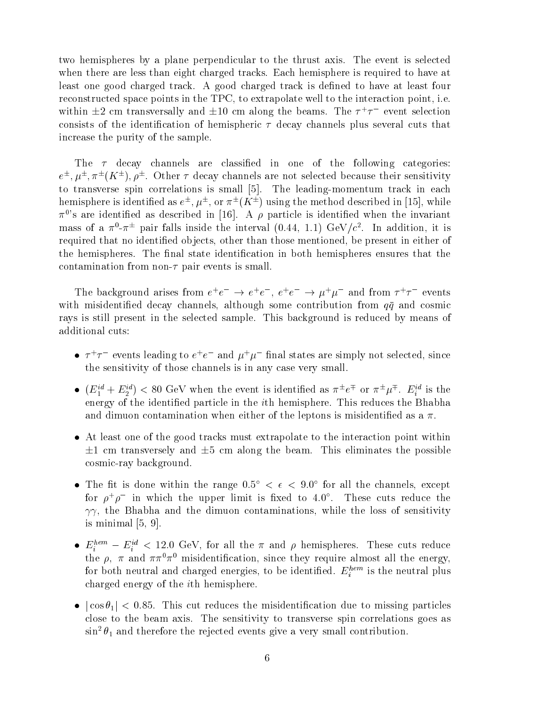two hemispheres by a plane perpendicular to the thrust axis. The event is selected when there are less than eight charged tracks. Each hemisphere is required to have at least one good charged track. A good charged track is defined to have at least four reconstructed space points in the TPC, to extrapolate well to the interaction point, i.e. within  $\pm z$  cm transversally and  $\pm 10$  cm along the beams. The  $\tau + \tau$  event selection consists of the identification of hemispheric  $\tau$  decay channels plus several cuts that increase the purity of the sample.

The  $\tau$  decay channels are classified in one of the following categories:  $e^-$ ,  $\mu^-$ ,  $\pi^-$ ( $\Lambda^-$ ),  $\rho^-$ . Other 7 decay channels are not selected because their sensitivity to transverse spin correlations is small [5]. The leading-momentum track in each  $\mu$ emisphere is identified as  $e^-,\mu^-$ , or  $\pi^-(K^-)$  using the method described in [15], while  $\pi^0$ 's are identified as described in [16]. A  $\rho$  particle is identified when the invariant  $\max$  of a  $\pi$ - $\pi$  -pair falls inside the interval (0.44, 1.1) GeV/c<sup>-</sup>. In addition, it is required that no identified objects, other than those mentioned, be present in either of the hemispheres. The final state identification in both hemispheres ensures that the contamination from non- $\tau$  pair events is small.

The background arises from  $e^+e^- \rightarrow e^+e^-$ ,  $e^+e^- \rightarrow \mu^+\mu^-$  and from  $\tau^+\tau^-$  events with misidentified decay channels, although some contribution from  $q\bar{q}$  and cosmic rays is still present in the selected sample. This background is reduced by means of additional cuts:

- $\bullet$  4 FeVents reading to ete and  $\mu^+\mu^-$  miar states are simply not selected, since the sensitivity of those channels is in any case very small.
- $\bullet$   $(E_1^+ + E_2^-)$   $\lt$  80 GeV when the event is identified as  $\pi^- e^+$  or  $\pi^- \mu^+$ .  $E_i^+$  is the energy of the identied particle in the ith hemisphere. This reduces the Bhabha and dimuon contamination when either of the leptons is misidentified as a  $\pi$ .
- At least one of the good tracks must extrapolate to the interaction point within  $\pm 1$  cm transversely and  $\pm 5$  cm along the beam. This eliminates the possible cosmic-ray background.
- $\bullet$  the nulls done within the range  $0.5^\circ < \epsilon < 9.0^\circ$  for all the channels, except for  $\rho^+\rho^-$  in which the upper limit is fixed to 4.0 . These cuts reduce the  $\gamma\gamma$ , the Bhabha and the dimuon contaminations, while the loss of sensitivity is minimal [5, 9].
- $\bullet$   $E_i^{\dots} E_i^{\dots}$  < 12.0 GeV, for all the  $\pi$  and  $\rho$  nemispheres. These cuts reduce the  $\rho$ ,  $\pi$  and  $\pi \pi^0 \pi^0$  misidentification, since they require almost all the energy, for both neutral and charged energies, to be identified.  $E_i^{\rm{even}}$  is the neutral plus charged energy of the ith hemisphere.
- $|\cos \theta_1|$  < 0.85. This cut reduces the misidentification due to missing particles close to the beam axis. The sensitivity to transverse spin correlations goes as  $\sin^2\theta_1$  and therefore the rejected events give a very small contribution.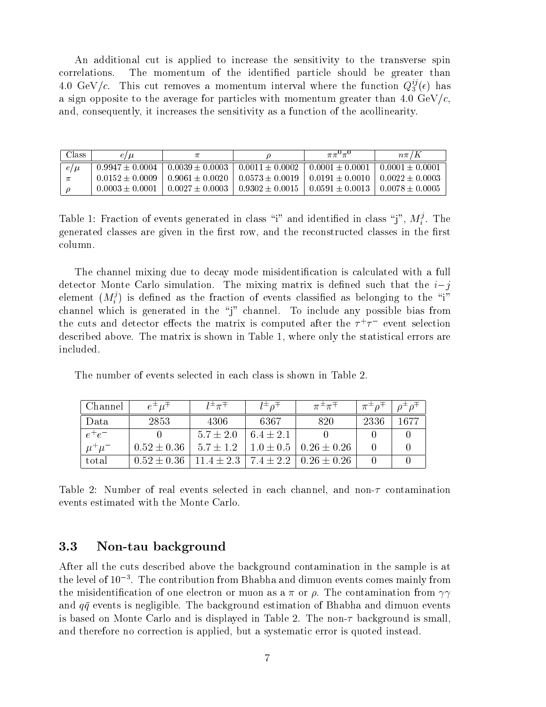An additional cut is applied to increase the sensitivity to the transverse spin correlations. The momentum of the identified particle should be greater than 4.0 GeV/c. This cut removes a momentum interval where the function  $Q_3^{\vee}(\epsilon)$  has a sign opposite to the average for particles with momentum greater than 4.0 GeV/ $c$ , and, consequently, it increases the sensitivity as a function of the acollinearity.

| Class   | ' µ<br>e i          |                       |                     | $\pi\pi$            | $n\pi/K$            |
|---------|---------------------|-----------------------|---------------------|---------------------|---------------------|
| $e/\mu$ | $0.9947 \pm 0.0004$ | $0.0039 \pm 0.0003$   | $0.0011 \pm 0.0002$ | $0.0001 \pm 0.0001$ | $0.0001 \pm 0.0001$ |
|         | $0.0152 \pm 0.0009$ | $0.9061 \pm 0.0020$ 1 | $0.0573 \pm 0.0019$ | $0.0191 \pm 0.0010$ | $0.0022 \pm 0.0003$ |
|         | $0.0003 \pm 0.0001$ | $0.0027 \pm 0.0003$   | $0.9302 \pm 0.0015$ | $0.0591 \pm 0.0013$ | $0.0078 \pm 0.0005$ |

Table 1: Fraction of events generated in class "1" and identified in class "J",  $M_i^{\circ}$ . The generated classes are given in the first row, and the reconstructed classes in the first column.

The channel mixing due to decay mode misidentication is calculated with a full detector Monte Carlo simulation. The mixing matrix is defined such that the  $i-j$ element ( $M_i^s$ ) is defined as the fraction of events classified as belonging to the "1" channel which is generated in the "j" channel. To include any possible bias from the cuts and detector effects the matrix is computed after the  $\tau$  +  $\tau$  - event selection described above. The matrix is shown in Table 1, where only the statistical errors are included.

The number of events selected in each class is shown in Table 2.

| Channel       | $e^{\pm}$ $\mu^+$                                                             | $l^{\pm} \pi^{\mp}$ | $l^{\pm}$ $\alpha^{+}$ | $\pi^{\pm}\pi^{\mp}$ | $\pi^{\pm} \rho^+ \perp \rho^{\pm} \rho^+$ |      |
|---------------|-------------------------------------------------------------------------------|---------------------|------------------------|----------------------|--------------------------------------------|------|
| Data          | 2853                                                                          | 4306                | 6367                   | 820                  | 2336                                       | 1677 |
| $e^+e^-$      |                                                                               | $5.7 \pm 2.0$       | $6.4 \pm 2.1$          |                      |                                            |      |
| $\mu^+ \mu^-$ | $\vert 0.52 \pm 0.36 \vert 5.7 \pm 1.2 \vert 1.0 \pm 0.5 \vert 0.26 \pm 0.26$ |                     |                        |                      |                                            |      |
| total         | $\mid 0.52 \pm 0.36 \mid 11.4 \pm 2.3 \mid 7.4 \pm 2.2 \mid 0.26 \pm 0.26$    |                     |                        |                      |                                            |      |

Table 2: Number of real events selected in each channel, and non- $\tau$  contamination events estimated with the Monte Carlo.

#### 3.3 3.3 Non-tau background

After all the cuts described above the background contamination in the sample is at the level of 103 . The contribution from Bhabha and dimuon events comes mainly from the misidentification of one electron or muon as a  $\pi$  or  $\rho$ . The contamination from  $\gamma\gamma$ and  $q\bar{q}$  events is negligible. The background estimation of Bhabha and dimuon events is based on Monte Carlo and is displayed in Table 2. The non- $\tau$  background is small, and therefore no correction is applied, but a systematic error is quoted instead.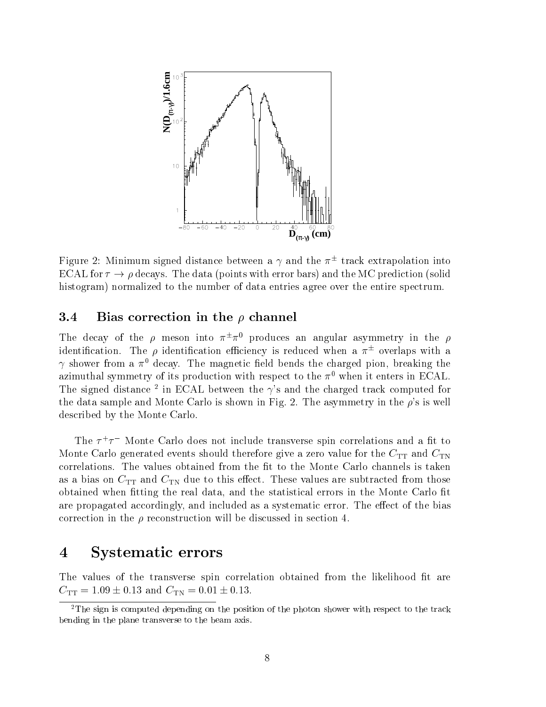

Figure 2: Minimum signed distance between a  $\gamma$  and the  $\pi^-$  track extrapolation into ECAL for  $\tau \to \rho$  decays. The data (points with error bars) and the MC prediction (solid histogram) normalized to the number of data entries agree over the entire spectrum.

#### 3.4 Bias correction in the  $\rho$  channel

The decay of the  $\rho$  meson into  $\pi^-\pi^-$  produces an angular asymmetry in the  $\rho$ identification. The  $\rho$  identification efficiency is reduced when a  $\pi^-$  overlaps with a  $\gamma$  shower from a  $\pi^0$  decay. The magnetic field bends the charged pion, breaking the azimuthal symmetry of its production with respect to the  $\pi^0$  when it enters in ECAL. The signed distance <sup>2</sup> in ECAL between the  $\gamma$ 's and the charged track computed for the data sample and Monte Carlo is shown in Fig. 2. The asymmetry in the  $\rho$ 's is well described by the Monte Carlo.

The  $\tau$  +  $\tau$  – monte Carlo does not include transverse spin correlations and a in to Monte Carlo generated events should therefore give a zero value for the  $C_{TT}$  and  $C_{TN}$ correlations. The values obtained from the fit to the Monte Carlo channels is taken as a bias on  $C_{TT}$  and  $C_{TN}$  due to this effect. These values are subtracted from those obtained when fitting the real data, and the statistical errors in the Monte Carlo fit are propagated accordingly, and included as a systematic error. The effect of the bias correction in the  $\rho$  reconstruction will be discussed in section 4.

## 4 Systematic errors

The values of the transverse spin correlation obtained from the likelihood fit are  $C_{\text{TT}} = 1.09 \pm 0.13$  and  $C_{\text{TN}} = 0.01 \pm 0.13$ .

<sup>&</sup>lt;sup>2</sup>The sign is computed depending on the position of the photon shower with respect to the track bending in the plane transverse to the beam axis.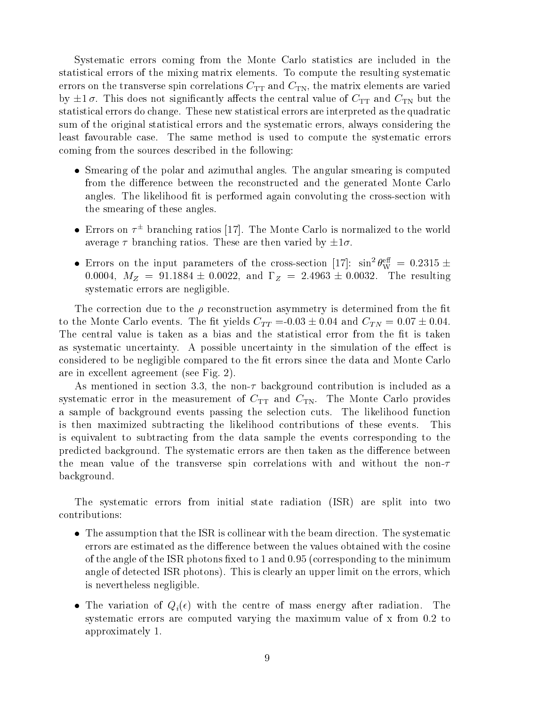Systematic errors coming from the Monte Carlo statistics are included in the statistical errors of the mixing matrix elements. To compute the resulting systematic errors on the transverse spin correlations  $C_{TT}$  and  $C_{TN}$ , the matrix elements are varied by  $\pm 1\sigma$ . This does not significantly affects the central value of  $C_{TT}$  and  $C_{TN}$  but the statistical errors do change. These new statistical errors are interpreted as the quadratic sum of the original statistical errors and the systematic errors, always considering the least favourable case. The same method is used to compute the systematic errors coming from the sources described in the following:

- Smearing of the polar and azimuthal angles. The angular smearing is computed from the difference between the reconstructed and the generated Monte Carlo angles. The likelihood fit is performed again convoluting the cross-section with the smearing of these angles.
- $\bullet$  errors on  $\tau$  -branching ratios  $[17]$ . The Monte Carlo is normalized to the world average  $\tau$  branching ratios. These are then varied by  $\pm 1\sigma$ .
- Errors on the input parameters of the cross-section  $|17|$ : sin<sup>-</sup> $\theta_{\rm W}^{zz} = 0.2315 \pm 0.25$ 0.0004,  $M_Z = 91.1884 \pm 0.0022$ , and  $\Gamma_Z = 2.4963 \pm 0.0032$ . The resulting systematic errors are negligible.

The correction due to the  $\rho$  reconstruction asymmetry is determined from the fit to the Monte Carlo events. The fit yields  $C_{TT} = 0.03 \pm 0.04$  and  $C_{TN} = 0.07 \pm 0.04$ . The central value is taken as a bias and the statistical error from the fit is taken as systematic uncertainty. A possible uncertainty in the simulation of the effect is considered to be negligible compared to the fit errors since the data and Monte Carlo are in excellent agreement (see Fig. 2).

As mentioned in section 3.3, the non- $\tau$  background contribution is included as a systematic error in the measurement of  $C_{TT}$  and  $C_{TN}$ . The Monte Carlo provides a sample of background events passing the selection cuts. The likelihood function is then maximized subtracting the likelihood contributions of these events. This is equivalent to subtracting from the data sample the events corresponding to the predicted background. The systematic errors are then taken as the difference between the mean value of the transverse spin correlations with and without the non- $\tau$ background.

The systematic errors from initial state radiation (ISR) are split into two contributions:

- The assumption that the ISR is collinear with the beam direction. The systematic errors are estimated as the difference between the values obtained with the cosine of the angle of the ISR photons fixed to 1 and  $0.95$  (corresponding to the minimum angle of detected ISR photons). This is clearly an upper limit on the errors, which is nevertheless negligible.
- The variation of  $Q_i(\epsilon)$  with the centre of mass energy after radiation. The systematic errors are computed varying the maximum value of x from 0.2 to approximately 1.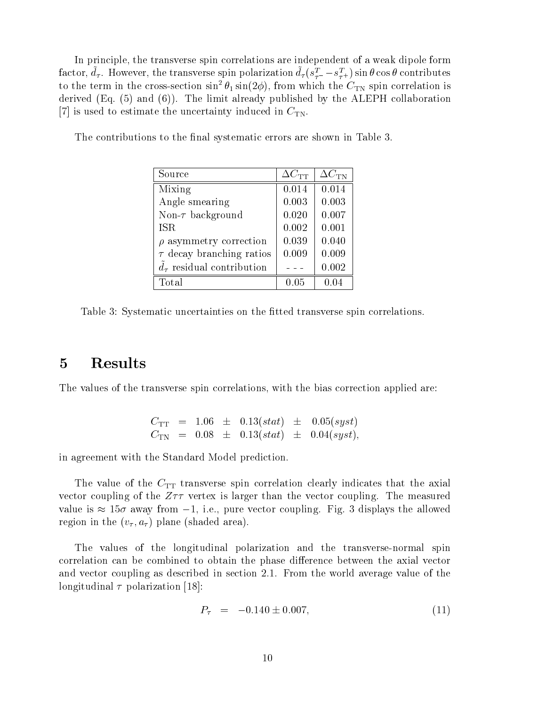In principle, the transverse spin correlations are independent of a weak dipole form factor,  $a_{\tau}$ . However, the transverse spin polarization  $a_{\tau}(s_{\tau-} - s_{\tau+})$  sin  $\sigma$  $\tau$  -  $\tau$  ,  $\tau$  ,  $\tau$  is contributed in contributions of  $\tau$ to the term in the cross-section  $\sin^2 \theta_1 \sin(2 \phi)$ , from which the  $C_{\text{TN}}$  spin correlation is derived (Eq. (5) and (6)). The limit already published by the ALEPH collaboration [7] is used to estimate the uncertainty induced in  $C_{TN}$ .

| Source                           | $\Delta C_{\textrm{\scriptsize TT}}$ | $\Delta C_{\rm TN}$ |  |
|----------------------------------|--------------------------------------|---------------------|--|
| Mixing                           | 0.014                                | 0.014               |  |
| Angle smearing                   | 0.003                                | 0.003               |  |
| Non- $\tau$ background           | 0.020                                | 0.007               |  |
| <b>ISR</b>                       | 0.002                                | 0.001               |  |
| $\rho$ asymmetry correction      | 0.039                                | 0.040               |  |
| $\tau$ decay branching ratios    | 0.009                                | 0.009               |  |
| $d_{\tau}$ residual contribution |                                      | 0.002               |  |
| Total                            | 0.05                                 | 0.04                |  |

The contributions to the final systematic errors are shown in Table 3.

Table 3: Systematic uncertainties on the fitted transverse spin correlations.

The values of the transverse spin correlations, with the bias correction applied are:

$$
\begin{array}{lclcl} C_{\text{TT}} & = & 1.06 & \pm & 0.13 (stat) & \pm & 0.05 (syst) \\ C_{\text{TN}} & = & 0.08 & \pm & 0.13 (stat) & \pm & 0.04 (syst), \end{array}
$$

in agreement with the Standard Model prediction.

The value of the  $C_{TT}$  transverse spin correlation clearly indicates that the axial vector coupling of the  $Z\tau\tau$  vertex is larger than the vector coupling. The measured value is the 15 away from 1, i.e., pure vector completely fig. 3 displays the allowed the allowed the allowed region in the  $(v_\tau, a_\tau)$  plane (shaded area).

The values of the longitudinal polarization and the transverse-normal spin correlation can be combined to obtain the phase difference between the axial vector and vector coupling as described in section 2.1. From the world average value of the longitudinal  $\tau$  polarization [18]:

$$
P_{\tau} = -0.140 \pm 0.007, \tag{11}
$$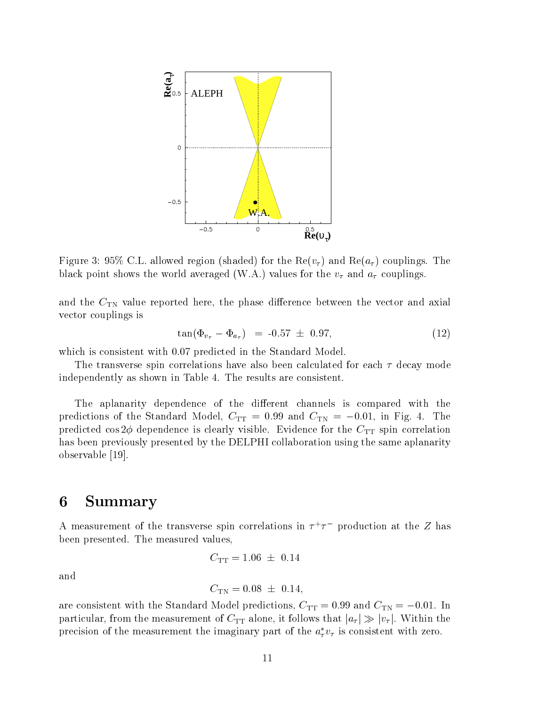

Figure 3: 95% C.L. allowed region (shaded) for the  $\text{Re}(v_{\tau})$  and  $\text{Re}(a_{\tau})$  couplings. The black point shows the world averaged (W.A.) values for the  $v<sub>\tau</sub>$  and  $a<sub>\tau</sub>$  couplings.

and the  $C_{TN}$  value reported here, the phase difference between the vector and axial vector couplings is

$$
\tan(\Phi_{v_{\tau}} - \Phi_{a_{\tau}}) = -0.57 \pm 0.97,\tag{12}
$$

which is consistent with 0.07 predicted in the Standard Model.

The transverse spin correlations have also been calculated for each  $\tau$  decay mode independently as shown in Table 4. The results are consistent.

The aplanarity dependence of the different channels is compared with the predictions of the Standard Model,  $C_{TT} = 0.99$  and  $C_{TN} = -0.01$ , in Fig. 4. The predicted cos  $2\phi$  dependence is clearly visible. Evidence for the  $C_{TT}$  spin correlation has been previously presented by the DELPHI collaboration using the same aplanarity observable [19].

#### 6 **Summary**

A measurement of the transverse spin correlations in  $\tau^+\tau^-$  production at the  $Z$  has been presented. The measured values,

$$
C_{\rm TT} = 1.06 \pm 0.14
$$

and

$$
C_{\rm TN} = 0.08 \ \pm \ 0.14,
$$

are consistent with the Standard Model predictions,  $C_{TT} = 0.99$  and  $C_{TN} = -0.01$ . In particular, from the measurement of  $C_{TT}$  alone, it follows that  $|a_{\tau}| \gg |v_{\tau}|$ . Within the precision of the measurement the imaginary part of the  $a_{\tau}v_{\tau}$  is consistent with zero.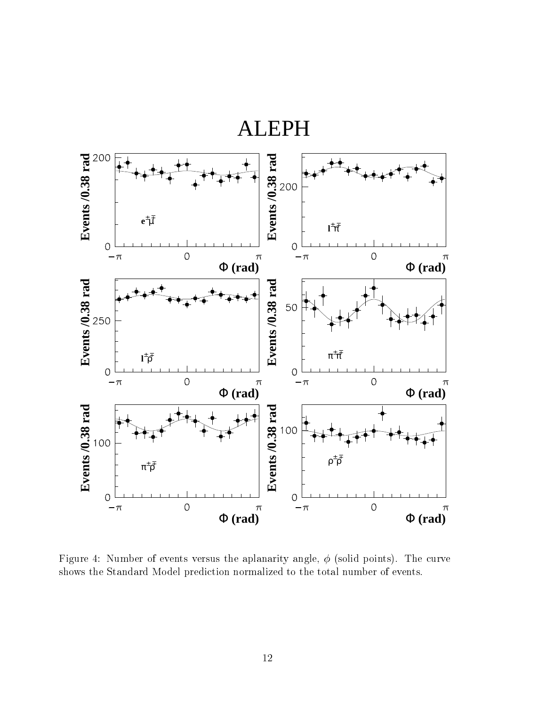

Figure 4: Number of events versus the aplanarity angle,  $\phi$  (solid points). The curve shows the Standard Model prediction normalized to the total number of events.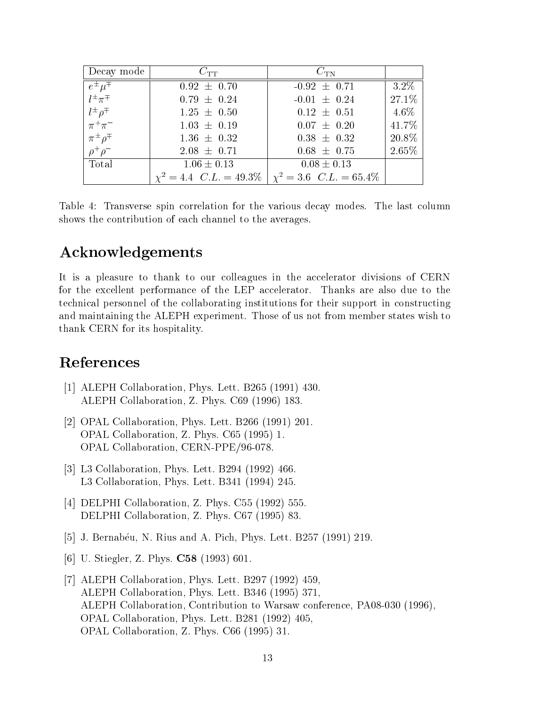| Decay mode                                  | $C_{\rm TT}$                                            | $C_{\rm TN}$     |         |
|---------------------------------------------|---------------------------------------------------------|------------------|---------|
| $\frac{e^{\pm}\mu^{\mp}}{l^{\pm}\pi^{\mp}}$ | $0.92 \pm 0.70$                                         | $-0.92 \pm 0.71$ | $3.2\%$ |
|                                             | $0.79 \pm 0.24$                                         | $-0.01 \pm 0.24$ | 27.1%   |
| $l^{\pm}\rho^{\mp}$<br>$\pi^+\pi^-$         | $1.25 \pm 0.50$                                         | $0.12 \pm 0.51$  | $4.6\%$ |
|                                             | $1.03 \pm 0.19$                                         | $0.07 \pm 0.20$  | 41.7%   |
| $\pi^{\pm} \rho^{\mp}$                      | $1.36 \pm 0.32$                                         | $0.38 \pm 0.32$  | 20.8%   |
| $\rho^+\rho^-$                              | $2.08 \pm 0.71$                                         | $0.68 \pm 0.75$  | 2.65%   |
| Total                                       | $1.06 \pm 0.13$                                         | $0.08 \pm 0.13$  |         |
|                                             | $\chi^2 = 4.4$ C.L. = 49.3% $\chi^2 = 3.6$ C.L. = 65.4% |                  |         |

Table 4: Transverse spin correlation for the various decay modes. The last column shows the contribution of each channel to the averages.

## Acknowledgements

It is a pleasure to thank to our colleagues in the accelerator divisions of CERN for the excellent performance of the LEP accelerator. Thanks are also due to the technical personnel of the collaborating institutions for their support in constructing and maintaining the ALEPH experiment. Those of us not from member states wish to thank CERN for its hospitality.

## References

- [1] ALEPH Collaboration, Phys. Lett. B265 (1991) 430. ALEPH Collaboration, Z. Phys. C69 (1996) 183.
- [2] OPAL Collaboration, Phys. Lett. B266 (1991) 201. OPAL Collaboration, Z. Phys. C65 (1995) 1. OPAL Collaboration, CERN-PPE/96-078.
- [3] L3 Collaboration, Phys. Lett. B294 (1992) 466. L3 Collaboration, Phys. Lett. B341 (1994) 245.
- [4] DELPHI Collaboration, Z. Phys. C55 (1992) 555. DELPHI Collaboration, Z. Phys. C67 (1995) 83.
- [5] J. Bernabéu, N. Rius and A. Pich, Phys. Lett. B257 (1991) 219.
- [6] U. Stiegler, Z. Phys. C58 (1993) 601.
- [7] ALEPH Collaboration, Phys. Lett. B297 (1992) 459, ALEPH Collaboration, Phys. Lett. B346 (1995) 371, ALEPH Collaboration, Contribution to Warsaw conference, PA08-030 (1996), OPAL Collaboration, Phys. Lett. B281 (1992) 405, OPAL Collaboration, Z. Phys. C66 (1995) 31.